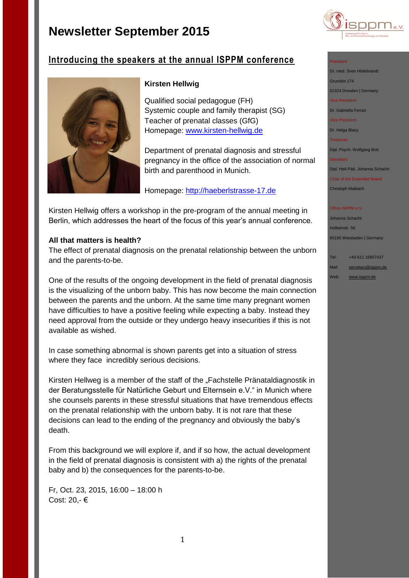

# **Introducing the speakers at the annual ISPPM conference**



# **Kirsten Hellwig**

Qualified social pedagogue (FH) Systemic couple and family therapist (SG) Teacher of prenatal classes (GfG) Homepage: [www.kirsten-hellwig.de](http://www.kirsten-hellwig.de/)

Department of prenatal diagnosis and stressful pregnancy in the office of the association of normal birth and parenthood in Munich.

Homepage: [http://haeberlstrasse-17.de](http://haeberlstrasse-17.de/de/ueber-uns/mitarbeiterinnen/beraterinnen)

Kirsten Hellwig offers a workshop in the pre-program of the annual meeting in Berlin, which addresses the heart of the focus of this year's annual conference.

## **All that matters is health?**

The effect of prenatal diagnosis on the prenatal relationship between the unborn and the parents-to-be.

One of the results of the ongoing development in the field of prenatal diagnosis is the visualizing of the unborn baby. This has now become the main connection between the parents and the unborn. At the same time many pregnant women have difficulties to have a positive feeling while expecting a baby. Instead they need approval from the outside or they undergo heavy insecurities if this is not available as wished.

In case something abnormal is shown parents get into a situation of stress where they face incredibly serious decisions.

Kirsten Hellweg is a member of the staff of the "Fachstelle Pränataldiagnostik in der Beratungsstelle für Natürliche Geburt und Elternsein e.V." in Munich where she counsels parents in these stressful situations that have tremendous effects on the prenatal relationship with the unborn baby. It is not rare that these decisions can lead to the ending of the pregnancy and obviously the baby's death.

From this background we will explore if, and if so how, the actual development in the field of prenatal diagnosis is consistent with a) the rights of the prenatal baby and b) the consequences for the parents-to-be.

Fr, Oct. 23, 2015, 16:00 – 18:00 h Cost: 20,- €

### President

Dr. med. Sven Hildebrandt

Grundstr.174

01324 Dresden | Germany Vice President

Dr. Gabriella Ferrari

Vice President

Dr. Helga Blazy

**Treasurer** 

Dipl. Psych. Wolfgang Bott

### **Secretary**

Dipl. Heil-Päd. Johanna Schacht

Chair of the Extended Board Christoph Maibach

### Office ISPPM e.V

Johanna Schacht Holbeinstr. 56 65195 Wiesbaden | Germany

Tel: +49 611 16857437

Mail: [secretary@isppm.de](mailto:secretary@isppm.de)

Web: [www.isppm.de](http://www.isppm.de/)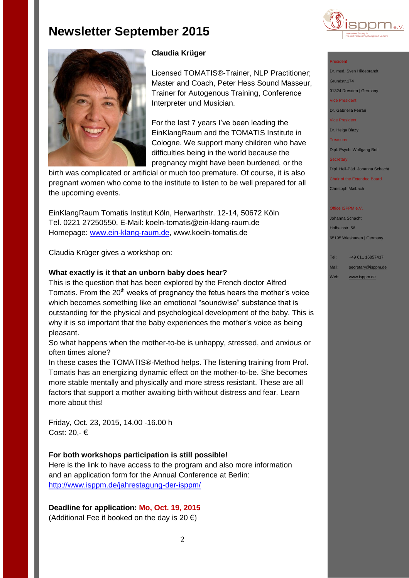



# **Claudia Krüger**

Licensed TOMATIS®-Trainer, NLP Practitioner; Master and Coach, Peter Hess Sound Masseur, Trainer for Autogenous Training, Conference Interpreter und Musician.

For the last 7 years I've been leading the EinKlangRaum and the TOMATIS Institute in Cologne. We support many children who have difficulties being in the world because the pregnancy might have been burdened, or the

birth was complicated or artificial or much too premature. Of course, it is also pregnant women who come to the institute to listen to be well prepared for all the upcoming events.

EinKlangRaum Tomatis Institut Köln, Herwarthstr. 12-14, 50672 Köln Tel. 0221 27250550, E-Mail: koeln-tomatis@ein-klang-raum.de Homepage: [www.ein-klang-raum.de,](http://www.ein-klang-raum.de/) www.koeln-tomatis.de

Claudia Krüger gives a workshop on:

### **What exactly is it that an unborn baby does hear?**

This is the question that has been explored by the French doctor Alfred Tomatis. From the  $20<sup>th</sup>$  weeks of pregnancy the fetus hears the mother's voice which becomes something like an emotional "soundwise" substance that is outstanding for the physical and psychological development of the baby. This is why it is so important that the baby experiences the mother's voice as being pleasant.

So what happens when the mother-to-be is unhappy, stressed, and anxious or often times alone?

In these cases the TOMATIS®-Method helps. The listening training from Prof. Tomatis has an energizing dynamic effect on the mother-to-be. She becomes more stable mentally and physically and more stress resistant. These are all factors that support a mother awaiting birth without distress and fear. Learn more about this!

Friday, Oct. 23, 2015, 14.00 -16.00 h Cost: 20,- €

### **For both workshops participation is still possible!**

Here is the link to have access to the program and also more information and an application form for the Annual Conference at Berlin: <http://www.isppm.de/jahrestagung-der-isppm/>

**Deadline for application: Mo, Oct. 19, 2015** (Additional Fee if booked on the day is 20  $\epsilon$ )

### President

Dr. med. Sven Hildebrandt Grundstr.174 01324 Dresden | Germany

Vice President

Dr. Gabriella Ferrari

Vice President

Dr. Helga Blazy

Treasurer

Dipl. Psych. Wolfgang Bott

### **Secretary**

Dipl. Heil-Päd. Johanna Schacht

Chair of the Extended Board Christoph Maibach

#### **Office ISPPM e.V**

Johanna Schacht Holbeinstr. 56 65195 Wiesbaden | Germany

Tel: +49 611 16857437

Mail: [secretary@isppm.de](mailto:secretary@isppm.de)

Web: [www.isppm.de](http://www.isppm.de/)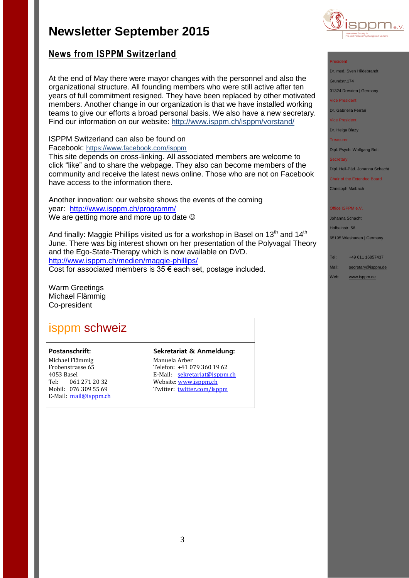

# **News from ISPPM Switzerland**

At the end of May there were mayor changes with the personnel and also the organizational structure. All founding members who were still active after ten years of full commitment resigned. They have been replaced by other motivated members. Another change in our organization is that we have installed working teams to give our efforts a broad personal basis. We also have a new secretary. Find our information on our website: <http://www.isppm.ch/isppm/vorstand/>

## ISPPM Switzerland can also be found on

Facebook: <https://www.facebook.com/isppm>

This site depends on cross-linking. All associated members are welcome to click "like" and to share the webpage. They also can become members of the community and receive the latest news online. Those who are not on Facebook have access to the information there.

Another innovation: our website shows the events of the coming year: <http://www.isppm.ch/programm/> We are getting more and more up to date  $\odot$ 

And finally: Maggie Phillips visited us for a workshop in Basel on 13<sup>th</sup> and 14<sup>th</sup> June. There was big interest shown on her presentation of the Polyvagal Theory and the Ego-State-Therapy which is now available on DVD. <http://www.isppm.ch/medien/maggie-phillips/> Cost for associated members is  $35 \in$  each set, postage included.

Warm Greetings Michael Flämmig Co-president

# isppm schweiz

### **Postanschrift:**

Michael Flämmig Frobenstrasse 65 4053 Basel Tel: 061 271 20 32 Mobil: 076 309 55 69 E-Mail: [mail@isppm.ch](mailto:mail@isppm.ch)

### **Sekretariat & Anmeldung:**

Manuela Arber Telefon: +41 079 360 19 62 E-Mail: [sekretariat@isppm.ch](mailto:sekretariat@isppm.ch) Website[: www.isppm.ch](http://www.isppm.ch/) Twitter: [twitter.com/isppm](http://twitter.com/isppm)

### President

Dr. med. Sven Hildebrandt Grundstr.174

01324 Dresden | Germany

Vice President

Dr. Gabriella Ferrari

Vice President

Dr. Helga Blazy

**Treasurer** 

Dipl. Psych. Wolfgang Bott

**Secretary** 

Dipl. Heil-Päd. Johanna Schacht

Chair of the Extended Board Christoph Maibach

Office ISPPM e.V

Johanna Schacht Holbeinstr. 56

65195 Wiesbaden | Germany

Tel: +49 611 16857437

Mail: [secretary@isppm.de](mailto:secretary@isppm.de)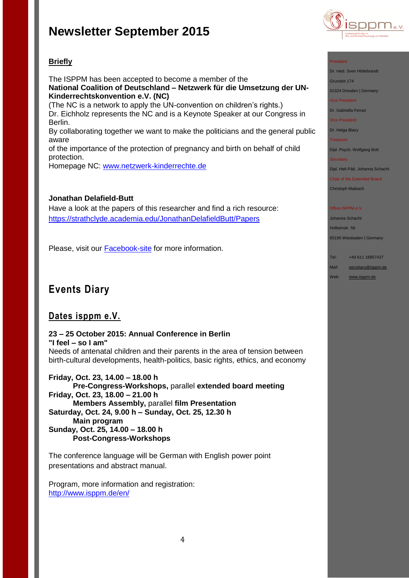

# **Briefly**

The ISPPM has been accepted to become a member of the **National Coalition of Deutschland – Netzwerk für die Umsetzung der UN-Kinderrechtskonvention e.V. (NC)**

(The NC is a network to apply the UN-convention on children's rights.) Dr. Eichholz represents the NC and is a Keynote Speaker at our Congress in Berlin.

By collaborating together we want to make the politicians and the general public aware

of the importance of the protection of pregnancy and birth on behalf of child protection.

Homepage NC: [www.netzwerk-kinderrechte.de](http://www.netzwerk-kinderrechte.de/)

## **Jonathan Delafield-Butt**

Have a look at the papers of this researcher and find a rich resource: <https://strathclyde.academia.edu/JonathanDelafieldButt/Papers>

Please, visit our [Facebook-site](https://www.facebook.com/pages/ISPPM-eV/124066644364106) for more information.

# **Events Diary**

# **Dates isppm e.V.**

### **23 – 25 October 2015: Annual Conference in Berlin "I feel – so I am"**

Needs of antenatal children and their parents in the area of tension between birth-cultural developments, health-politics, basic rights, ethics, and economy

**Friday, Oct. 23, 14.00 – 18.00 h Pre-Congress-Workshops,** parallel **extended board meeting Friday, Oct. 23, 18.00 – 21.00 h Members Assembly,** parallel **film Presentation Saturday, Oct. 24, 9.00 h – Sunday, Oct. 25, 12.30 h Main program Sunday, Oct. 25, 14.00 – 18.00 h Post-Congress-Workshops**

The conference language will be German with English power point presentations and abstract manual.

Program, more information and registration: <http://www.isppm.de/en/>

### President

Dr. med. Sven Hildebrandt

Grundstr.174

01324 Dresden | Germany

Vice President

Dr. Gabriella Ferrari

Vice President

Dr. Helga Blazy

Treasurer

Dipl. Psych. Wolfgang Bott

**Secretary** 

Dipl. Heil-Päd. Johanna Schacht

Chair of the Extended Board Christoph Maibach

### Office ISPPM e.V

Johanna Schacht Holbeinstr. 56 65195 Wiesbaden | Germany

Tel: +49 611 16857437

Mail: [secretary@isppm.de](mailto:secretary@isppm.de)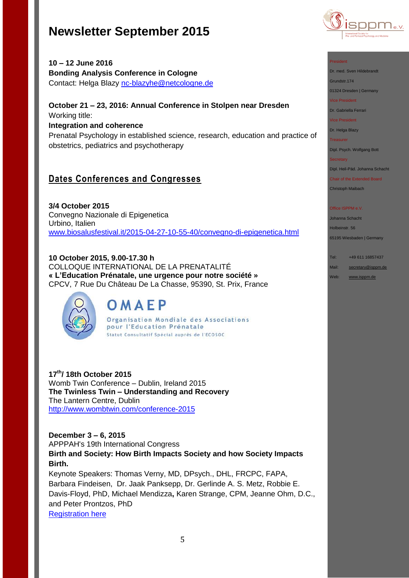

**10 – 12 June 2016 Bonding Analysis Conference in Cologne** Contact: Helga Blazy [nc-blazyhe@netcologne.de](mailto:nc-blazyhe@netcologne.de)

## **October 21 – 23, 2016: Annual Conference in Stolpen near Dresden** Working title:

# **Integration and coherence**

Prenatal Psychology in established science, research, education and practice of obstetrics, pediatrics and psychotherapy

# **Dates Conferences and Congresses**

**3/4 October 2015** Convegno Nazionale di Epigenetica Urbino, Italien [www.biosalusfestival.it/2015-04-27-10-55-40/convegno-di-epigenetica.html](http://www.biosalusfestival.it/2015-04-27-10-55-40/convegno-di-epigenetica.html)

# **10 October 2015, 9.00-17.30 h**

COLLOQUE INTERNATIONAL DE LA PRENATALITÉ **« L'Education Prénatale, une urgence pour notre société »** CPCV, 7 Rue Du Château De La Chasse, 95390, St. Prix, France



# OMAEP

Organisation Mondiale des Associations pour l'Education Prénatale Statut Consultatif Spécial auprès de l'ECOSOC

**17th/ 18th October 2015** Womb Twin Conference – Dublin, Ireland 2015 **The Twinless Twin – Understanding and Recovery**  The Lantern Centre, Dublin [http://www.wombtwin.com/conference-2015](http://www.wombtwin.com/conference-2015/4588428837?utm_source=Womb+Twin+newsletter&utm_campaign=f7c2af81ac-Newsletter+May+2015+2015&utm_medium=email&utm_term=0_189851c605-f7c2af81ac-421063393)

**December 3 – 6, 2015** APPPAH's 19th International Congress **Birth and Society: How Birth Impacts Society and how Society Impacts Birth.**

Keynote Speakers: Thomas Verny, MD, DPsych., DHL, FRCPC, FAPA, Barbara Findeisen, Dr. Jaak Panksepp, Dr. Gerlinde A. S. Metz, Robbie E. Davis-Floyd, PhD, Michael Mendizza**,** Karen Strange, CPM, Jeanne Ohm, D.C., and Peter Prontzos, PhD

[Registration here](http://r20.rs6.net/tn.jsp?f=001ow1wkvozei_88VPX53sV2VFa_ZuxEIVEKa01uLsN1mbdQzyyQdhs_FXedW1fhcbR0cAnBWKAa58XC3PwfiugTa1u-MPUS6Vonsz2fJNfQoB35pjIsF_7lD1CN_qw8TKu7v5JAd5plpwt_sJH1Yde9EazKKjwqyMJ21kbRBK73s3eVNH4L1EyhKr9FAjjkUSl1fgyAKzNeZsbRxoBWUe7j8en6Y0oQ_VI&c=LWshyrIfwgT0SZxQf9pomHGUyyn_Wvxtp2RWpyiRrhc-6I_2N51Iww==&ch=fzqAY8gzqrfAbvVlvh6O_uf6Y0uhLqpZVtR_fAmpQsLRiSXUV-TJkQ==)

### President

Dr. med. Sven Hildebrandt

Grundstr.174

01324 Dresden | Germany

Vice President

Dr. Gabriella Ferrari

Vice President

Dr. Helga Blazy

Treasurer

Dipl. Psych. Wolfgang Bott

### **Secretary**

Dipl. Heil-Päd. Johanna Schacht

Chair of the Extended Board Christoph Maibach

### **Office ISPPM e.V**

Johanna Schacht Holbeinstr. 56 65195 Wiesbaden | Germany

Tel: +49 611 16857437

Mail: [secretary@isppm.de](mailto:secretary@isppm.de)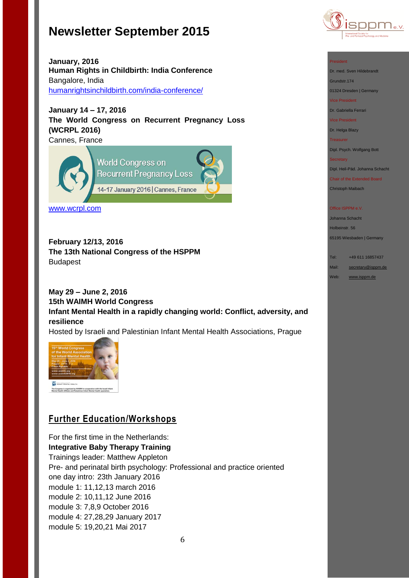

**January, 2016 Human Rights in Childbirth: India Conference** Bangalore, India [humanrightsinchildbirth.com/india-conference/](http://humanrightsinchildbirth.com/india-conference/)

**January 14 – 17, 2016 The World Congress on Recurrent Pregnancy Loss (WCRPL 2016)** Cannes, France



[www.wcrpl.com](http://www.wcrpl.com/)

**February 12/13, 2016 The 13th National Congress of the HSPPM**  Budapest

# **May 29 – June 2, 2016 15th WAIMH World Congress Infant Mental Health in a rapidly changing world: Conflict, adversity, and resilience**

Hosted by Israeli and Palestinian Infant Mental Health Associations, Prague



# **Further Education/Workshops**

For the first time in the Netherlands: **Integrative Baby Therapy Training** Trainings leader: Matthew Appleton Pre- and perinatal birth psychology: Professional and practice oriented one day intro: 23th January 2016 module 1: 11,12,13 march 2016 module 2: 10,11,12 June 2016 module 3: 7,8,9 October 2016 module 4: 27,28,29 January 2017 module 5: 19,20,21 Mai 2017



Dr. med. Sven Hildebrandt Grundstr.174

01324 Dresden | Germany

Vice President

Dr. Gabriella Ferrari

Vice President

Dr. Helga Blazy

Treasurer

Dipl. Psych. Wolfgang Bott

**Secretary** 

Dipl. Heil-Päd. Johanna Schacht

Chair of the Extended Board Christoph Maibach

Office ISPPM e.V

Johanna Schacht Holbeinstr. 56

65195 Wiesbaden | Germany

Tel: +49 611 16857437 Mail: [secretary@isppm.de](mailto:secretary@isppm.de)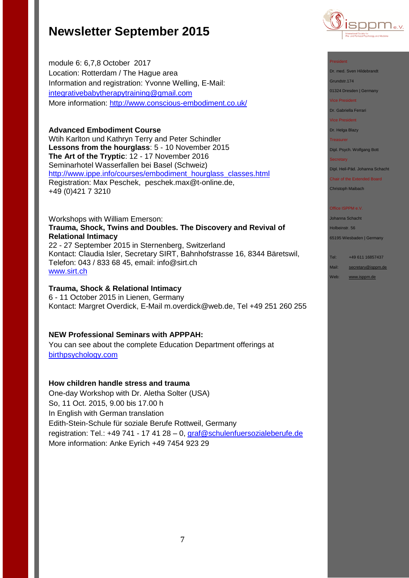module 6: 6,7,8 October 2017 Location: Rotterdam / The Hague area Information and registration: Yvonne Welling, E-Mail: [integrativebabytherapytraining@gmail.com](mailto:integrativebabytherapytraining@gmail.com) More information:<http://www.conscious-embodiment.co.uk/>

### **Advanced Embodiment Course**

Wtih Karlton und Kathryn Terry and Peter Schindler **Lessons from the hourglass**: 5 - 10 November 2015 **The Art of the Tryptic**: 12 - 17 November 2016 Seminarhotel Wasserfallen bei Basel (Schweiz) [http://www.ippe.info/courses/embodiment\\_hourglass\\_classes.html](http://www.ippe.info/courses/embodiment_hourglass_classes.html)  Registration: Max Peschek, [peschek.max@t-online.de,](mailto:peschek.max@t-online.de) +49 (0)421 7 3210

### Workshops with William Emerson: **Trauma, Shock, Twins and Doubles. The Discovery and Revival of Relational Intimacy** 22 - 27 September 2015 in Sternenberg, Switzerland

Kontact: Claudia Isler, Secretary SIRT, Bahnhofstrasse 16, 8344 Bäretswil, Telefon: 043 / 833 68 45, email: [info@sirt.ch](mailto:info@sirt.ch) [www.sirt.ch](http://www.sirt.ch/)

### **Trauma, Shock & Relational Intimacy**

6 - 11 October 2015 in Lienen, Germany Kontact: Margret Overdick, E-Mail [m.overdick@web.de,](mailto:m.overdick@web.de) Tel +49 251 260 255

## **NEW Professional Seminars with APPPAH:**

You can see about the complete Education Department offerings at [birthpsychology.com](http://birthpsychology.com/)

### **How children handle stress and trauma**

One-day Workshop with Dr. Aletha Solter (USA) So, 11 Oct. 2015, 9.00 bis 17.00 h In English with German translation Edith-Stein-Schule für soziale Berufe Rottweil, Germany registration: Tel.: +49 741 - 17 41 28 – 0, [graf@schulenfuersozialeberufe.de](mailto:graf@schulenfuersozialeberufe.de) More information: Anke Eyrich +49 7454 923 29



### President

Dr. med. Sven Hildebrandt

Grundstr.174

01324 Dresden | Germany Vice President

Dr. Gabriella Ferrari

Vice President

Dr. Helga Blazy

Treasurer

Dipl. Psych. Wolfgang Bott

#### **Secretary**

Dipl. Heil-Päd. Johanna Schacht

Chair of the Extended Board Christoph Maibach

### **Office ISPPM e.V**

Johanna Schacht Holbeinstr. 56 65195 Wiesbaden | Germany

Tel: +49 611 16857437

Mail: [secretary@isppm.de](mailto:secretary@isppm.de)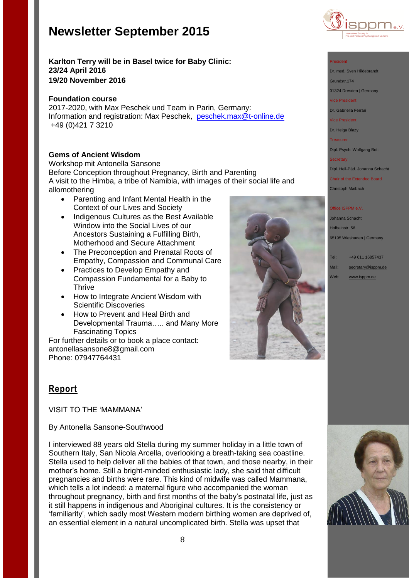



# **Karlton Terry will be in Basel twice for Baby Clinic: 23/24 April 2016 19/20 November 2016**

### **Foundation course**

2017-2020, with Max Peschek und Team in Parin, Germany: Information and registration: Max Peschek, [peschek.max@t-online.de](mailto:peschek.max@t-online.de) +49 (0)421 7 3210

# **Gems of Ancient Wisdom**

Workshop mit Antonella Sansone Before Conception throughout Pregnancy, Birth and Parenting A visit to the Himba, a tribe of Namibia, with images of their social life and allomothering

- Parenting and Infant Mental Health in the Context of our Lives and Society
- Indigenous Cultures as the Best Available Window into the Social Lives of our Ancestors Sustaining a Fulfilling Birth, Motherhood and Secure Attachment
- The Preconception and Prenatal Roots of Empathy, Compassion and Communal Care
- Practices to Develop Empathy and Compassion Fundamental for a Baby to **Thrive**
- How to Integrate Ancient Wisdom with Scientific Discoveries
- How to Prevent and Heal Birth and Developmental Trauma….. and Many More Fascinating Topics

For further details or to book a place contact: [antonellasansone8@gmail.com](mailto:antonellasansone8@gmail.com) Phone: 07947764431



### President

Dr. med. Sven Hildebrandt

Grundstr.174

01324 Dresden | Germany

### Vice President

Dr. Gabriella Ferrari

Vice President

Dr. Helga Blazy

Treasurer

Dipl. Psych. Wolfgang Bott

### **Secretary**

Dipl. Heil-Päd. Johanna Schacht

Chair of the Extended Board Christoph Maibach

### **Office ISPPM e.V**

Johanna Schacht Holbeinstr. 56 65195 Wiesbaden | Germany

Tel: +49 611 16857437 Mail: [secretary@isppm.de](mailto:secretary@isppm.de) Web: [www.isppm.de](http://www.isppm.de/)

# **Report**

VISIT TO THE 'MAMMANA'

## By Antonella Sansone-Southwood

I interviewed 88 years old Stella during my summer holiday in a little town of Southern Italy, San Nicola Arcella, overlooking a breath-taking sea coastline. Stella used to help deliver all the babies of that town, and those nearby, in their mother's home. Still a bright-minded enthusiastic lady, she said that difficult pregnancies and births were rare. This kind of midwife was called Mammana, which tells a lot indeed: a maternal figure who accompanied the woman throughout pregnancy, birth and first months of the baby's postnatal life, just as it still happens in indigenous and Aboriginal cultures. It is the consistency or 'familiarity', which sadly most Western modern birthing women are deprived of, an essential element in a natural uncomplicated birth. Stella was upset that